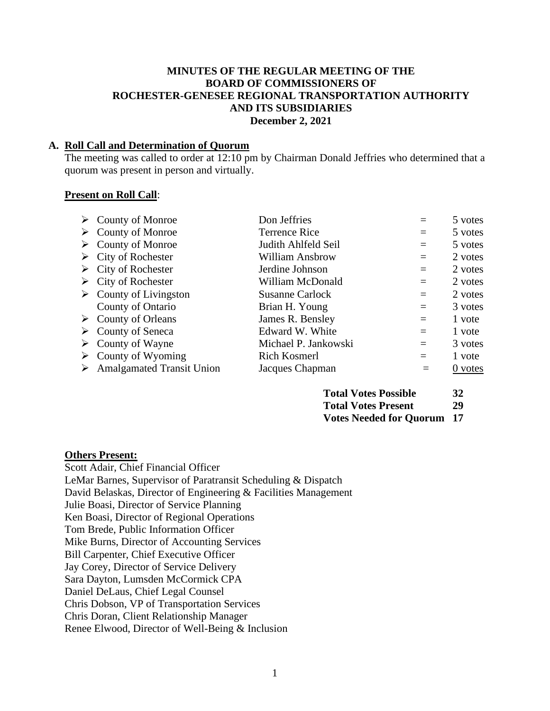### **MINUTES OF THE REGULAR MEETING OF THE BOARD OF COMMISSIONERS OF ROCHESTER-GENESEE REGIONAL TRANSPORTATION AUTHORITY AND ITS SUBSIDIARIES December 2, 2021**

### **A. Roll Call and Determination of Quorum**

The meeting was called to order at 12:10 pm by Chairman Donald Jeffries who determined that a quorum was present in person and virtually.

#### **Present on Roll Call**:

|   | $\triangleright$ County of Monroe     | Don Jeffries           |     | 5 votes   |
|---|---------------------------------------|------------------------|-----|-----------|
| ➤ | County of Monroe                      | <b>Terrence Rice</b>   | $=$ | 5 votes   |
| ➤ | <b>County of Monroe</b>               | Judith Ahlfeld Seil    | $=$ | 5 votes   |
| ➤ | City of Rochester                     | William Ansbrow        | $=$ | 2 votes   |
|   | $\triangleright$ City of Rochester    | Jerdine Johnson        | $=$ | 2 votes   |
|   | $\triangleright$ City of Rochester    | William McDonald       | $=$ | 2 votes   |
|   | $\triangleright$ County of Livingston | <b>Susanne Carlock</b> | $=$ | 2 votes   |
|   | County of Ontario                     | Brian H. Young         | $=$ | 3 votes   |
| ➤ | County of Orleans                     | James R. Bensley       | $=$ | 1 vote    |
| ➤ | County of Seneca                      | Edward W. White        | $=$ | 1 vote    |
|   | $\triangleright$ County of Wayne      | Michael P. Jankowski   | $=$ | 3 votes   |
| ➤ | County of Wyoming                     | Rich Kosmerl           | $=$ | 1 vote    |
| ➤ | <b>Amalgamated Transit Union</b>      | Jacques Chapman        | $=$ | $0$ votes |

| <b>Total Votes Possible</b>       | 32 |
|-----------------------------------|----|
| <b>Total Votes Present</b>        | 29 |
| <b>Votes Needed for Quorum 17</b> |    |

### **Others Present:**

Scott Adair, Chief Financial Officer LeMar Barnes, Supervisor of Paratransit Scheduling & Dispatch David Belaskas, Director of Engineering & Facilities Management Julie Boasi, Director of Service Planning Ken Boasi, Director of Regional Operations Tom Brede, Public Information Officer Mike Burns, Director of Accounting Services Bill Carpenter, Chief Executive Officer Jay Corey, Director of Service Delivery Sara Dayton, Lumsden McCormick CPA Daniel DeLaus, Chief Legal Counsel Chris Dobson, VP of Transportation Services Chris Doran, Client Relationship Manager Renee Elwood, Director of Well-Being & Inclusion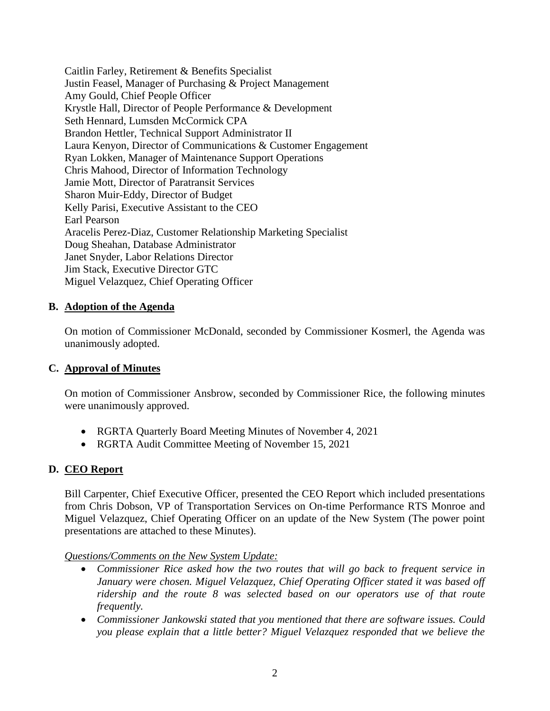Caitlin Farley, Retirement & Benefits Specialist Justin Feasel, Manager of Purchasing & Project Management Amy Gould, Chief People Officer Krystle Hall, Director of People Performance & Development Seth Hennard, Lumsden McCormick CPA Brandon Hettler, Technical Support Administrator II Laura Kenyon, Director of Communications & Customer Engagement Ryan Lokken, Manager of Maintenance Support Operations Chris Mahood, Director of Information Technology Jamie Mott, Director of Paratransit Services Sharon Muir-Eddy, Director of Budget Kelly Parisi, Executive Assistant to the CEO Earl Pearson Aracelis Perez-Diaz, Customer Relationship Marketing Specialist Doug Sheahan, Database Administrator Janet Snyder, Labor Relations Director Jim Stack, Executive Director GTC Miguel Velazquez, Chief Operating Officer

## **B. Adoption of the Agenda**

On motion of Commissioner McDonald, seconded by Commissioner Kosmerl, the Agenda was unanimously adopted.

### **C. Approval of Minutes**

On motion of Commissioner Ansbrow, seconded by Commissioner Rice, the following minutes were unanimously approved.

- RGRTA Quarterly Board Meeting Minutes of November 4, 2021
- RGRTA Audit Committee Meeting of November 15, 2021

# **D. CEO Report**

Bill Carpenter, Chief Executive Officer, presented the CEO Report which included presentations from Chris Dobson, VP of Transportation Services on On-time Performance RTS Monroe and Miguel Velazquez, Chief Operating Officer on an update of the New System (The power point presentations are attached to these Minutes).

*Questions/Comments on the New System Update:*

- *Commissioner Rice asked how the two routes that will go back to frequent service in January were chosen. Miguel Velazquez, Chief Operating Officer stated it was based off ridership and the route 8 was selected based on our operators use of that route frequently.*
- *Commissioner Jankowski stated that you mentioned that there are software issues. Could you please explain that a little better? Miguel Velazquez responded that we believe the*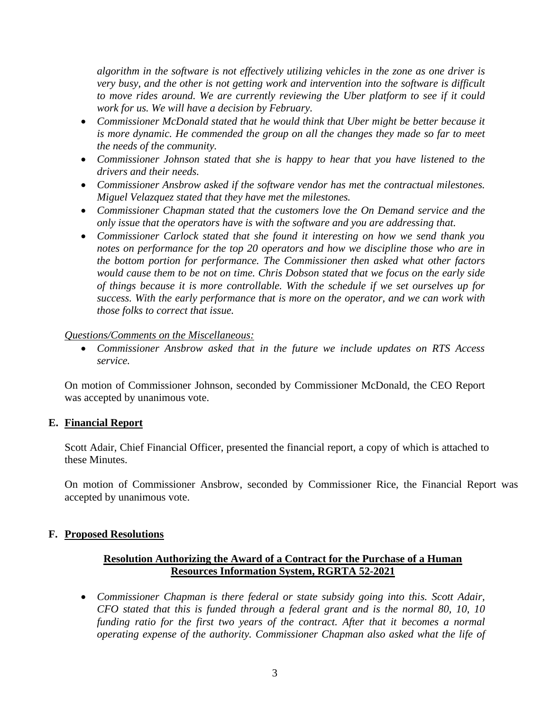*algorithm in the software is not effectively utilizing vehicles in the zone as one driver is very busy, and the other is not getting work and intervention into the software is difficult to move rides around. We are currently reviewing the Uber platform to see if it could work for us. We will have a decision by February.*

- *Commissioner McDonald stated that he would think that Uber might be better because it is more dynamic. He commended the group on all the changes they made so far to meet the needs of the community.*
- *Commissioner Johnson stated that she is happy to hear that you have listened to the drivers and their needs.*
- *Commissioner Ansbrow asked if the software vendor has met the contractual milestones. Miguel Velazquez stated that they have met the milestones.*
- *Commissioner Chapman stated that the customers love the On Demand service and the only issue that the operators have is with the software and you are addressing that.*
- *Commissioner Carlock stated that she found it interesting on how we send thank you notes on performance for the top 20 operators and how we discipline those who are in the bottom portion for performance. The Commissioner then asked what other factors would cause them to be not on time. Chris Dobson stated that we focus on the early side of things because it is more controllable. With the schedule if we set ourselves up for success. With the early performance that is more on the operator, and we can work with those folks to correct that issue.*

### *Questions/Comments on the Miscellaneous:*

• *Commissioner Ansbrow asked that in the future we include updates on RTS Access service.*

On motion of Commissioner Johnson, seconded by Commissioner McDonald, the CEO Report was accepted by unanimous vote.

### **E. Financial Report**

Scott Adair, Chief Financial Officer, presented the financial report, a copy of which is attached to these Minutes.

On motion of Commissioner Ansbrow, seconded by Commissioner Rice, the Financial Report was accepted by unanimous vote.

### **F. Proposed Resolutions**

# **Resolution Authorizing the Award of a Contract for the Purchase of a Human Resources Information System, RGRTA 52-2021**

• *Commissioner Chapman is there federal or state subsidy going into this. Scott Adair, CFO stated that this is funded through a federal grant and is the normal 80, 10, 10 funding ratio for the first two years of the contract. After that it becomes a normal operating expense of the authority. Commissioner Chapman also asked what the life of*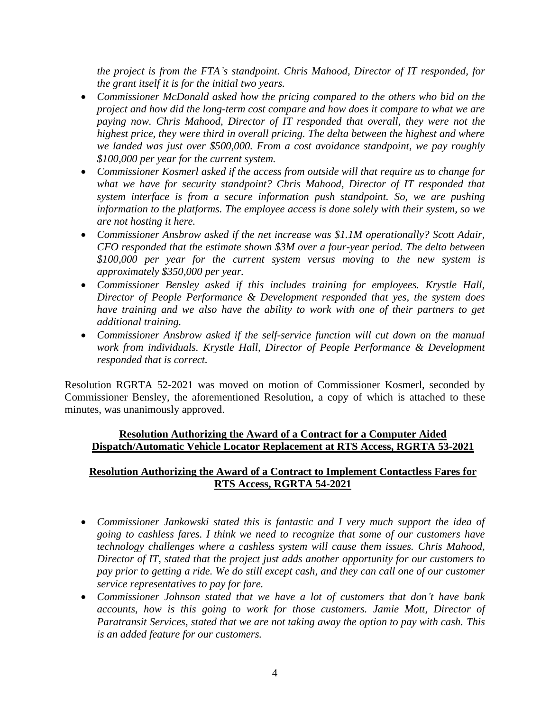*the project is from the FTA's standpoint. Chris Mahood, Director of IT responded, for the grant itself it is for the initial two years.*

- *Commissioner McDonald asked how the pricing compared to the others who bid on the project and how did the long-term cost compare and how does it compare to what we are paying now. Chris Mahood, Director of IT responded that overall, they were not the highest price, they were third in overall pricing. The delta between the highest and where we landed was just over \$500,000. From a cost avoidance standpoint, we pay roughly \$100,000 per year for the current system.*
- *Commissioner Kosmerl asked if the access from outside will that require us to change for what we have for security standpoint? Chris Mahood, Director of IT responded that system interface is from a secure information push standpoint. So, we are pushing information to the platforms. The employee access is done solely with their system, so we are not hosting it here.*
- *Commissioner Ansbrow asked if the net increase was \$1.1M operationally? Scott Adair, CFO responded that the estimate shown \$3M over a four-year period. The delta between \$100,000 per year for the current system versus moving to the new system is approximately \$350,000 per year.*
- *Commissioner Bensley asked if this includes training for employees. Krystle Hall, Director of People Performance & Development responded that yes, the system does have training and we also have the ability to work with one of their partners to get additional training.*
- *Commissioner Ansbrow asked if the self-service function will cut down on the manual work from individuals. Krystle Hall, Director of People Performance & Development responded that is correct.*

Resolution RGRTA 52-2021 was moved on motion of Commissioner Kosmerl, seconded by Commissioner Bensley, the aforementioned Resolution, a copy of which is attached to these minutes, was unanimously approved.

## **Resolution Authorizing the Award of a Contract for a Computer Aided Dispatch/Automatic Vehicle Locator Replacement at RTS Access, RGRTA 53-2021**

# **Resolution Authorizing the Award of a Contract to Implement Contactless Fares for RTS Access, RGRTA 54-2021**

- *Commissioner Jankowski stated this is fantastic and I very much support the idea of going to cashless fares. I think we need to recognize that some of our customers have technology challenges where a cashless system will cause them issues. Chris Mahood, Director of IT, stated that the project just adds another opportunity for our customers to pay prior to getting a ride. We do still except cash, and they can call one of our customer service representatives to pay for fare.*
- *Commissioner Johnson stated that we have a lot of customers that don't have bank accounts, how is this going to work for those customers. Jamie Mott, Director of Paratransit Services, stated that we are not taking away the option to pay with cash. This is an added feature for our customers.*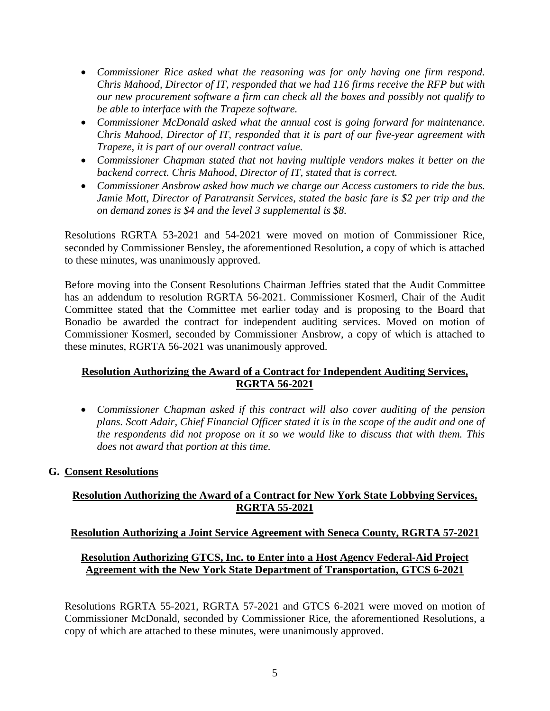- *Commissioner Rice asked what the reasoning was for only having one firm respond. Chris Mahood, Director of IT, responded that we had 116 firms receive the RFP but with our new procurement software a firm can check all the boxes and possibly not qualify to be able to interface with the Trapeze software.*
- *Commissioner McDonald asked what the annual cost is going forward for maintenance. Chris Mahood, Director of IT, responded that it is part of our five-year agreement with Trapeze, it is part of our overall contract value.*
- *Commissioner Chapman stated that not having multiple vendors makes it better on the backend correct. Chris Mahood, Director of IT, stated that is correct.*
- *Commissioner Ansbrow asked how much we charge our Access customers to ride the bus. Jamie Mott, Director of Paratransit Services, stated the basic fare is \$2 per trip and the on demand zones is \$4 and the level 3 supplemental is \$8.*

Resolutions RGRTA 53-2021 and 54-2021 were moved on motion of Commissioner Rice, seconded by Commissioner Bensley, the aforementioned Resolution, a copy of which is attached to these minutes, was unanimously approved.

Before moving into the Consent Resolutions Chairman Jeffries stated that the Audit Committee has an addendum to resolution RGRTA 56-2021. Commissioner Kosmerl, Chair of the Audit Committee stated that the Committee met earlier today and is proposing to the Board that Bonadio be awarded the contract for independent auditing services. Moved on motion of Commissioner Kosmerl, seconded by Commissioner Ansbrow, a copy of which is attached to these minutes, RGRTA 56-2021 was unanimously approved.

# **Resolution Authorizing the Award of a Contract for Independent Auditing Services, RGRTA 56-2021**

- *Commissioner Chapman asked if this contract will also cover auditing of the pension plans. Scott Adair, Chief Financial Officer stated it is in the scope of the audit and one of the respondents did not propose on it so we would like to discuss that with them. This does not award that portion at this time.*
- **G. Consent Resolutions**

# **Resolution Authorizing the Award of a Contract for New York State Lobbying Services, RGRTA 55-2021**

# **Resolution Authorizing a Joint Service Agreement with Seneca County, RGRTA 57-2021**

# **Resolution Authorizing GTCS, Inc. to Enter into a Host Agency Federal-Aid Project Agreement with the New York State Department of Transportation, GTCS 6-2021**

Resolutions RGRTA 55-2021, RGRTA 57-2021 and GTCS 6-2021 were moved on motion of Commissioner McDonald, seconded by Commissioner Rice, the aforementioned Resolutions, a copy of which are attached to these minutes, were unanimously approved.